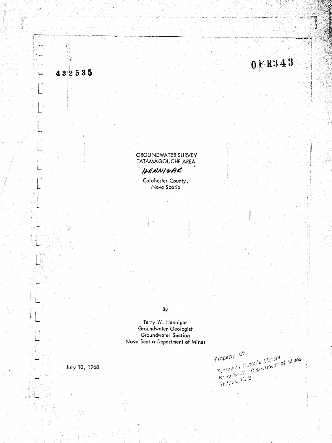

m

**GROUNDWATER SURVEY** TATAMAGOUCHE AREA HENNIGAR

Colchester County, Nova Scotia

# By

Terry W. Hennigar Groundwater Geologist Groundwater Section Nova Scotia Department of Mines

July 10, 1968

· 第一章

ir<br>J

432535

Technical Records Library<br>Technical Records Library<br>Nova Section C Property of: Halliax, M. S.

 $\frac{1}{2}$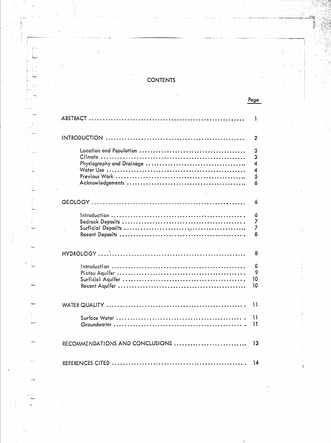# **CONTENTS**

Page

|                                 | ı                                                 |
|---------------------------------|---------------------------------------------------|
|                                 |                                                   |
|                                 | 2                                                 |
|                                 | 3<br>3<br>4<br>$\overline{\mathcal{A}}$<br>5<br>6 |
|                                 | 6                                                 |
|                                 | 6<br>7<br>7<br>8                                  |
|                                 | 8                                                 |
|                                 | δ<br>9<br>10<br>10                                |
|                                 | 11                                                |
|                                 | 11<br>11                                          |
| RECOMMENDATIONS AND CONCLUSIONS | 13                                                |
|                                 | 14                                                |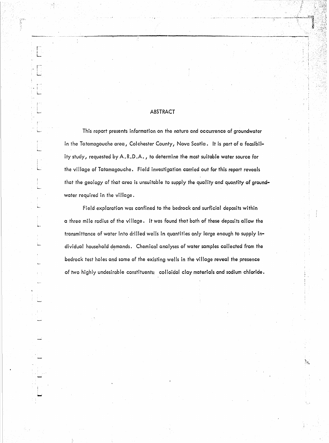# ABSTRACT

This report presents information on the nature and occurrence of groundwater in the Tatamagouche area, Colchester County, Nova Scotia. It is part of a feasibility study, requested by A.R.D.A., to determine the most suitable water source for the village of Tatamagouche. Field investigation carried out for this report reveals that the geology of that area is unsuitable to supply the quality and quantity of groundwater required in the village.

Field exploration was confined to the bedrock and surficial deposits within a three mile radius of the village. It was found that both of these deposits allow the transmittance of water into drilled wells in quantities only large enough to supply individual household demands. Chemical analyses of water samples collected from the bedrock test holes and some of the existing wells in the village reveal the presence of two highly undesirable constituents: colloidal clay materials and sodium chloride.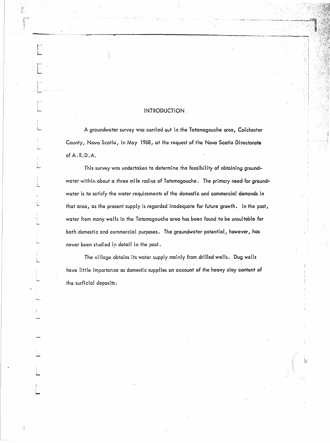# **INTRODUCTION**

 $\frac{1}{4}$ 

解释

A groundwater survey was carried out in the Tatamagouche area, Colchester County, Nova Scotia, in May 1968, at the request of the Nova Scotia Directorate of A.R.D.A.

This survey was undertaken to determine the feasibility of obtaining groundwater within about a three mile radius of Tatamagouche. The primary need for groundwater is to satisfy the water requirements of the domestic and commercial demands in that area, as the present supply is regarded inadequate for future growth. In the past, water from many wells in the Tatamagouche area has been found to be unsuitable for both domestic and commercial purposes. The groundwater potential, however, has never been studied in detail in the past.

The village obtains its water supply mainly from drilled wells. Dug wells have little importance as domestic supplies on account of the heavy clay content of the surficial deposits.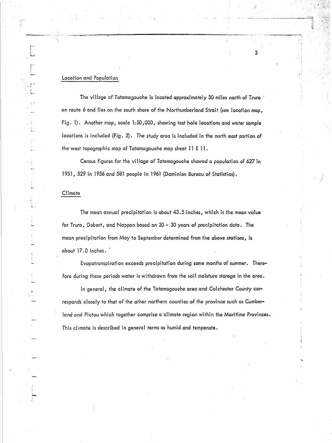#### Location and Population

The village of Tatamagouche is located approximately 30 miles north of Truro' on route 6 and lies on the south shore of the Northumberland Strait (see location map, Fig. 1). Another map, scale 1:50,000, showing test hole locations and water sample locations is included (Fig. 2). The study area is included in the north east portion of the west topographic map of Tatamagouche map sheet 11 E 11.

\_.\_-.--.:r-'''~r.''..,~--....---------------------.\_--\_.+\_.~-

3

Census figures for the vi lIage of Tatamagouche showed a population of 627 in 1951, 529 in 1956 and 581 people in 1961 (Dominion Bureau of Statistics).

#### **Climate**

The mean annual precipitation is about 43.5 inches, which is the mean value for Truro, Debert, and Nappan based on 20 - 30 years of precipitation data. The mean precipitation from May to September determined from the above stations, is about 17.0 inches..

Evapotranspiration exceeds precipitation during some months of summer. Therefore during these periods water is withdrawn from the soil moisture storage in the area.

In general, the climate of the Tatamagouche area and Colchester County corresponds closely to that of the other northern counties of the province such as Cumberland and Pictou which together comprise a 'climate region within the Maritime Provinces. This climate is described in general terms as humid and temperate.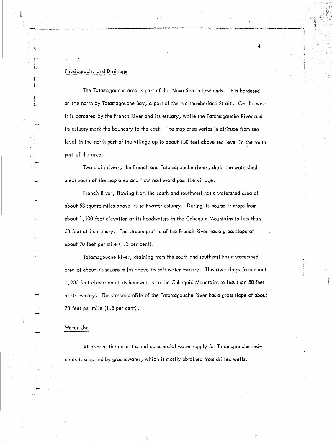# . Physiography and Drainage

f i L....

.'. i L

. ..1

The Tatamagouche area is part of the Nova Scotia Lowlands. It is bordered on the north by Tatamagouche Bay, a part of the Northumberland Strait. On the west it is bordered by the French River and its estuary, while the Tatamagouche River and its estuary mark the boundary to the east. The map area varies in altitude from sea level in the north part of the village up to about 150 feet above sea level in the south part of the area.

4

, ,

Two main rivers, the French and Tatamagouche rivers, drain the watershed areas south of the map area and flow northward past the village.

French River, flowing from the south and southwest has a watershed area of about 53 square miles above its salt water estuary. During its course it drops from about 1,100 feet elevation at its headwaters in the Cobequid Mountains to less than 50 feet at its estuary. The stream profile of the French River has a grass slope of about 70 feet per mile (1.3 per cent).

Tatamagouche River, draining frcm the south and southeast has a watershed area of about 75 square miles above its salt water estuary. This river drops from about 1,200 feet elevation at its headwaters in the Cobequid Mountains to less than 50 feet at its estuary. The stream profile of the Tatamagouche River has a gross slope of about 78 feet per mile (1.5 per cent).

#### Water Use

! |<br>|<br>|-

At present the domestic and commercial water supply for Tatamagouche residents is supplied by groundwater, which is mostly obtained from drilled wells.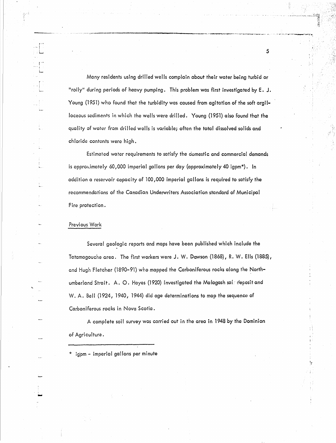Many residents using drilled wells complain about their water being turbid or "roily" during periods of heavy pumping. This problem was first investigated by E. J. Young (1951) who found that the turbidity was caused from agitation of the soft argilloceous sediments in which the wells were drilled. Young (1951) also found that the quality of water from drilled wells is variable; often the total dissolved solids and chloride contents were high.

5

.<br>.<br>. "

Estimated water requirements to satisfy the domestic and commercial demands is approximately 60,000 imperial gallons per day (approximately 40 igpm\*). In addition a reservoir capacity of 100,000 imperial gallons is required to satisfy the recommendations of the Canadian Underwriters Association standard of Municipal Fire protection.

#### Previous Work

 $\cdot$   $\mid$   $\mid$   $\mid$ L

> {" . i

-<br>-<br>-<br>-

Several geologic reports and maps have been published which include the Tatamagouche area. The first workers were J. W. Dawson (1868), R. W. Ells (1885), and Hugh Fletcher (1890-91) who mapped the Carboniferous rocks along the Northumberland Strait. A. O. Hayes (1920) investigated the Malagash sale deposit and W. A. Bell (1924, 1940, 1944) did age determinations to map the sequence of Carboniferous rocks in Nova Scotia.

A complete soil survey was carried out in the area in 1948 by the Dominion of Agriculture.

igpm - imperial gallons per minute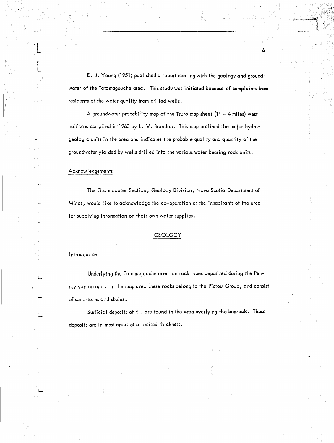E. J. Young (1951) published a report dealing with the geology and groundwater of the Tatamagouche area. This study was initiated because of complaints from residents of the water quality from drilled wells.

- -\_.--\_..-.---\_.....-------------------,---\_...-.....- ......\_,,------...;

A groundwater probability map of the Truro map sheet  $(1<sup>u</sup> = 4$  miles) west half was compiled in'1963 by L. V. Brandon. This map outlined the major hydrogeologic units in the area and indicates the probable quality and quantity of the groundwater yielded by wells drilled into the various water bearing rock units.

#### Acknowledgements

 $\cdot$  ( $\cdot$ i ......

> ,.,"-' i L

> > The Groundwater Section, Geology Division, Nova Scotia Department of Mines, would like to acknowledge the co-operation of the inhabitants of the area for supplying information on their own water supplies.

#### GEOLOGY

#### Introduction

Underlying the Tatamagouche area are rock types deposited during the Pennsylvanian age. In the map area mese rocks belong to the Pictou Group, and consist of sandstones and shales.

Surficial deposits of till are found in the area overlying the bedrock. These. deposits are in most areas of a limited thickness.

6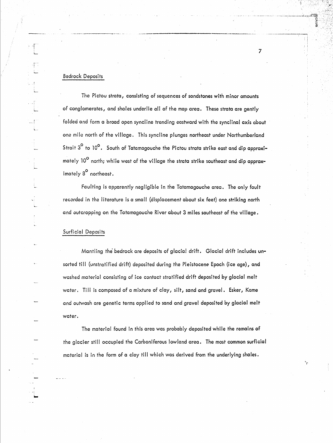#### Bedrock Deposits

The Pictou strata, consisting of sequences of sandstones with minor amounts of conglomerates, and shales underlie all of the map area. These strata are gently folded and form a broad open syncline trending eastward with the synclinal axis about one mile north of the village. This syncline plunges northeast under Northumberland Strait  $3^\mathsf{O}$  to 10 $^\mathsf{O}$ . South of Tatamagouche the Pictou strata strike east and dip approximately 10<sup>°</sup> north; while west of the village the strata strike southeast and dip approximately 8<sup>0</sup> northeast.

·\_ ...\_-----------

7

........\_.\_-----:-"'---"1

Faulting is apparently negligible in the Tatamagouche area. The only fault recorded in the literature is a small (displacement about six feet) one striking north and outcropping on the Tatamagouche River about 3 miles southeast of the vi lIage.

### Surficial Deposits

Mantling the' bedrock are deposits of glacial drift. Glacial drift includes **un**sorted till (unstratified drift) deposited during the Pleistocene Epoch (ice age), and washed material consisting of ice contact stratified drift deposited by glacial melt water. Till is composed of a mixture of clay, silt, sand and gravel. Esker, Kame and outwash are genetic terms applied to sand and gravel deposited by glacial melt water.

The material found in this area was probably deposited while the remains of the glacier still occupied the Carboniferous lowland area. The most common surficial material is in the form of a clay till which was derived from the underlying shales.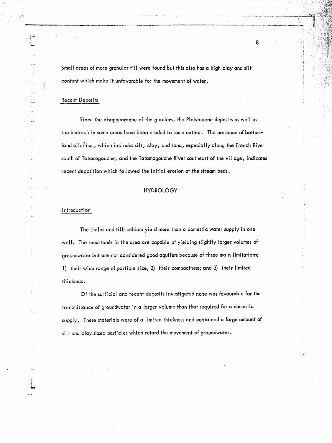Small 'areas of more granular till were found but this also has a high clay and silt content which make it unfavorable for the movement of water.

#### Recent Deposits

-,---------------,\_.~,\_ .

.'I''' L

> ! ~.

L.

I , ,-

, i ...

Since the disappearance of the glaciers, the Pleistocene deposits as well as the bedrock in some areas have been eroded to some extent. The presence of bottomland alluhium, which includes silt, clay, and sand, especially along the French River south of Tatamagouche, and the Tatamagouche River southeast of the village, indicates recent deposition which followed the initial erosion of the stream beds.

#### HYDROLOGY

#### Introduction

The shales and tills seldom yield more than a domestic water supply in one well. The sandstones in the area are capable of yielding slightly larger volumes of groundwater but are not considered good aquifers because of three main limitations: 1) their wide range of particle size; 2) their compactness; and 3) their limited thi ckness.

Of the surficial and recent deposits investigated none was favourable for the transmittance of groundwater in a larger volume than that required for a domestic supply. These materials were of a limited thickness and contained a large amount of silt and clay sized particles which retard the movement of groundwater.

8

\"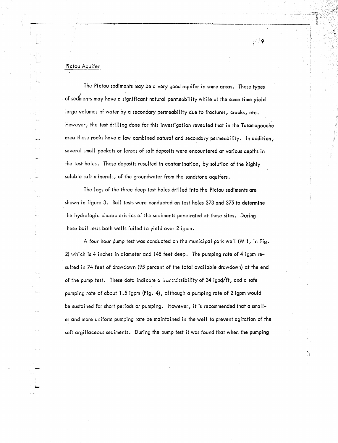# Pictou Aquifer

The Pictou sediments may be a very good aquifer in some areas. These types of sed $_{\rm{meatrix}}^{\rm{s}}$  may have a significant natural permeability while at the same time yield large volumes of water by a secondary permeability due to fractures, cracks, etc. However, the test drilling done for this investigation revealed that in the Tatamagouche area these rocks have a low combined natural and secondary permeability. In addition, several small pockets or lenses of salt deposits were encountered at various depths in the test holes. These deposits resulted in contamination, by solution of the highly soluble salt minerals, of the groundwater from the sandstone aquifers.

The logs of the three deep test holes drilled into the Pictou sediments are shown in figure 3. Bail tests were conducted on test holes 373 and 375 to determine the hydrologic characteristics of the sediments penetrated at these sites. During these bail tests both wells failed to yield over 2 igpm.

A four hour pump test was conducted on the municipal park well  $(W_1)$ , in Fig. 2) which is 4 inches in diameter and 148 feet deep. The pumping rate of 4 igpm resuited in 74 feet of drawdown (95 percent of the total available drawdown) at the end of the pump test. These data indicate a irunsmissibility of 34 igpd/ft, and a safe pumping rate of about 1.5 igpm (Fig. 4), although a pumping rate of 2 igpm would be sustained for short periods or pumping. However, it is recommended that a smaller and more uniform pumping rate be maintained in the well to prevent agitation of the soft argillaceous sediments. During the pump test it was found that when the pumping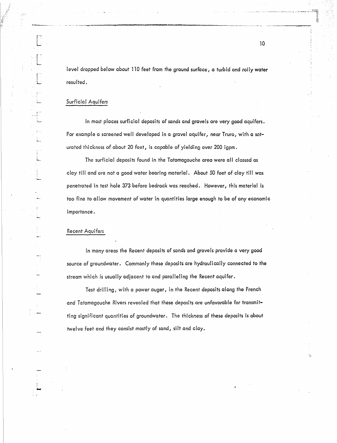level dropped below about 110 feet from the ground surface, a turbid and roily water resulted.

----., \_---------\_.\_------\_. --\_ \_. \_\_ \_... ...,..\_------

#### Surficial Aquifers

In most places surficial deposits of sands and gravels are very good aquifers. For example a screened well developed in a gravel aquifer, near Truro, with a saturated thickness of about 20 feet, is capable of yielding over 200 igpm.

The surficial deposits found in the Tatamagouche area were all classed as clay till and are not a good water bearing material. About 50 feet of clay till was penetrated in test hole 373 before bedrock was reached. However, this material is too fine to allow movement of water in quantities large enough to be of any economic importance.

#### Recent Aquifers

In many areas the Recent deposits of sands and gravels provide a very good source of groundwater. Commonly these deposits are hydraulically connected to the stream which is usually adjacent to and paralleling the Recent aquifer.

Test drilling, with a power auger, in the Recent deposits along the French and Tatamagouche Rivers revealed that these deposits are unfavorable for transmitting significant quantities of groundwater. The thickness of these deposits is about twelve feet and they consist mostly of sand, silt and clay.

 $\ddot{ }$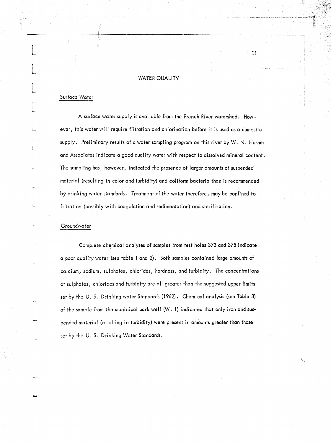#### WATER QUALITY

·11

医皮肤

/, .......\_\_ --i~ ---

#### Surface Water

I, I'

 $\cdot$  i I  $\cdot$   $\}$  .

> A surface water supply is avai lable from the French River watershed. However, this water will require filtration and chlorination before it is used as a domestic supply. Preliminary results of a water sampling program on this river by W. N. Horner and Associates indicate a good quality water with respect to dissolved mineral content. The sampling has, however, indicated the presence of larger amounts of suspended material (resulting in color and turbidity) and coliform bacteria than is recommended by drinking water standards. Treatment of the water therefore, may be confined to filtration (possibly with coagulation and sedimentation) and sterilization.

#### Groundwater

Complete chemical analyses of samples from test holes 373 and 375 indicate a poor quality water (see table 1 and 2). Both samples contained large amounts of calcium, sodium, sulphates, chlorides, hardness, and turbidity. The concentrations of sulphates, chlorides and turbidity are all greater than the suggested upper limits set by the U. S. Drinking water Standards (1962). Chemical analysis (see Table 3) of the sample from the municipal park well (W. 1) indicated that only iron and suspended material (resulting in turbidity) were present in amounts greater than those set by the U.S. Drinking Water Standards.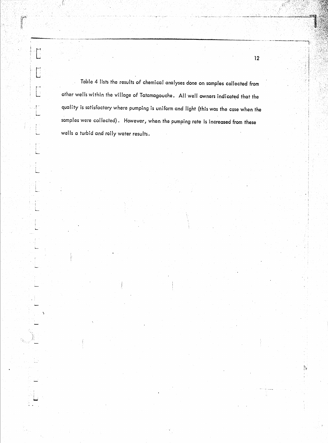**Superintendient** 

samples were collected). However, when the pumping rate is increased from these Table 4 lists the results of chemical analyses done on samples collected from wells a turbid and roily water results. other wells within the village of Tatamagouche. All well owners indicated that the quality is satisfactory where pumping is uniform and light (this was the case when the

12

h.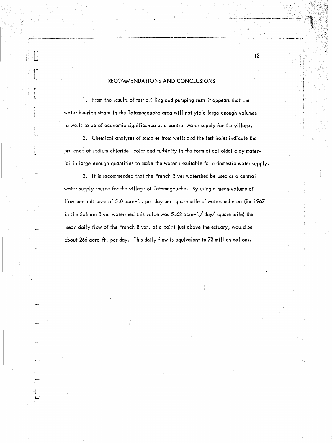# RECOMMENDATIONS AND CONCLUSIONS

13

1. From the results of test drilling and pumping tests it appears that the water bearing strata in the Tatamagouche area will not yield large enough volumes to wells to be of economic significance as a central water supply for the village.

2. Chemical analyses of samples from wells and the test holes indicate the presence of sodium chloride, color and turbidity in the form of colloidal clay material in large enough quantities to make the water unsuitable for a domestic water supply.

3. It is recommended that the French River watershed be used as a central water supply source for the village of Tatamagouche. By using a mean volume of flow per unit area of 5.0 acre-ft. per day per square mile of watershed area (for 1967 in the Salmon River watershed this value was 5.62 acre-ft/ day/ square mile) the mean daily flow of the French River, at a point just above the estuary, would be about 265 acre-ft. per day. This daily flow is equivalent to 72 million gallons.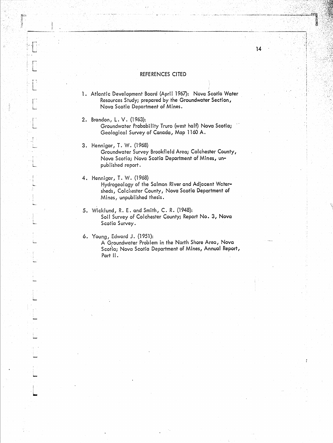#### REFERENCES CITED

.---\_--.:......;.,;....;.--.:.\_-..;.,-------------\_.\_---------« ....\_-\_.\_.\_\_...:---,

14

1. Atlantic Development Board (April 1967): Nova Scotia Water Resources Study; prepared by the Groundwater Section, Nova Scoria Department of Mines.

2. Brandon, L. V. (1963): Groundwater Probability Truro (west half) Nova Scotia; Geological Survey of Canada, Map 1160 A.

- 3 . Hennigar, T. W. (1968) Groundwater Survey Brookfield Area; Colchester County, Nova Scotia; Nova Scotia Department of Mines, unpublished report.
- 4. Hennigar, T. W. (1968) Hydrogeology of the Salmon River and Adjacent Watersheds, Colchester County, Nova Scotia Department of Mines, unpublished thesis.
- 5. Wicklund, R. E. and Smith, C. R. (1948): Soil Survey of Colchester County; Report No. 3, Nova Scotia Survey.

6. Young, Edward J. (1951):

"--" L

おい !!!

i ......

A Groundwater Problem in the North Shore Area, Nova Scotia; Nova Scotia Department of Mines, Annual Report, Part II.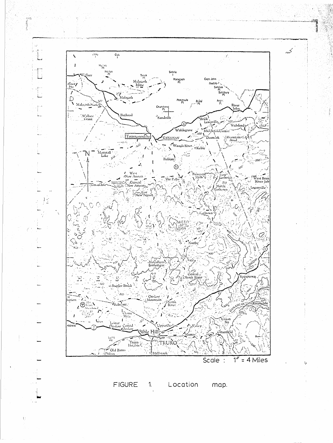

FIGURE  $1<sub>1</sub>$ Location map.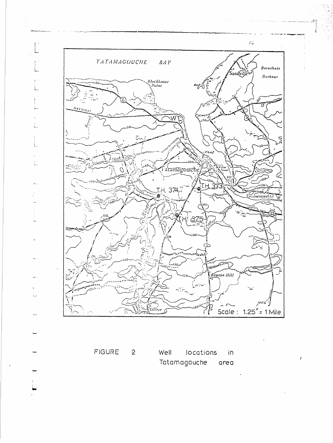

FIGURE Well locations  $\overline{2}$ in Tatamagouche area

 $\bar{r}$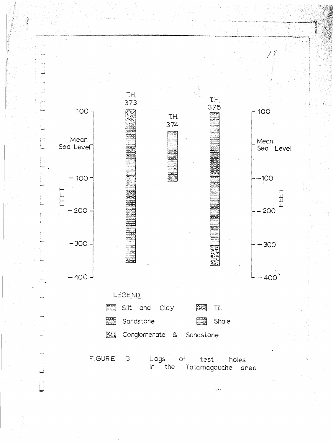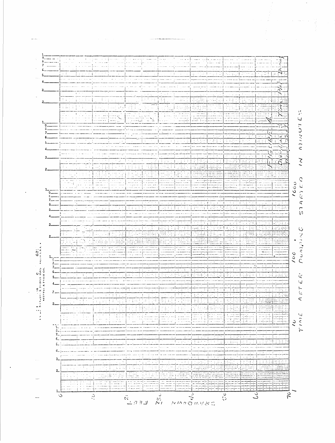

 $\label{eq:1} \begin{minipage}{0.9\textwidth} \begin{minipage}{0.9\textwidth} \centering \begin{minipage}{0.9\textwidth} \centering \end{minipage} \begin{minipage}{0.9\textwidth} \centering \begin{minipage}{0.9\textwidth} \centering \end{minipage} \begin{minipage}{0.9\textwidth} \centering \end{minipage} \begin{minipage}{0.9\textwidth} \centering \end{minipage} \begin{minipage}{0.9\textwidth} \centering \end{minipage} \begin{minipage}{0.9\textwidth} \centering \end{minipage} \begin{minipage}{0.9\textwidth} \centering \end{min$ 

 $\Delta \sim 100$  km s  $^{-1}$ 

an an

 $\sum_{i=1}^{n}$ 

Ý,  $\iota\lrcorner$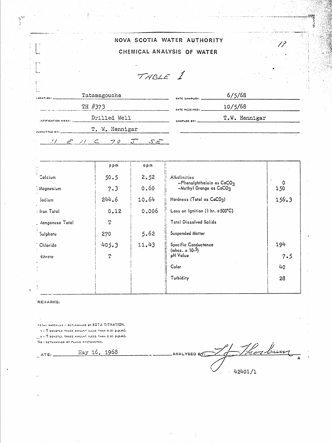|                    |                                                | NOVA SCOTIA WATER AUTHORITY |               |
|--------------------|------------------------------------------------|-----------------------------|---------------|
|                    |                                                | CHEMICAL ANALYSIS OF WATER  |               |
|                    | TABLE 1                                        |                             |               |
| LOCATION:          | Tatamagouche                                   | DATE SAMPLED!               | 6/5/68        |
|                    | TH #373                                        | DATE RECEIVED!              | 10/5/68       |
| INTIFICATION MARK: | Drilled Well                                   | SAMPLED BY!                 | T.W. Hennigar |
| AUBMITTED BY:      | T. W. Hennigar                                 |                             |               |
| $21 \leq 21$       | 70<br>$\subset$<br>$S \in \mathbb{R}$<br>$J^-$ |                             |               |

|                 | ppm         | epm   |                                                          |       |
|-----------------|-------------|-------|----------------------------------------------------------|-------|
| Calcium         | 50.5        | 2.52  | Alkalinities                                             |       |
| Megnesium       | 7.3         | 0.60  | $-Phenolphthalcin$ as $CaCO3$<br>-Methyl Orange as CaCO3 | 150   |
| Sodium          | 244.6       | 10.64 | Hardness (Total as CaCO3)                                | 156.3 |
| i Iron Total    | 0.12        | 0.006 | Loss on Ignition (1 hr. @500°C)                          |       |
| Manganese Total | $\mathbf T$ |       | <b>Total Dissolved Solids</b>                            |       |
| Sulphate        | 270         | 5.62  | Suspended Matter                                         |       |
| <b>Chloride</b> | 405.3       | 11.43 | Specific Conductance                                     | 194   |
| <b>Nitrate</b>  | T           |       | (mhos. $\times$ 10- <sup>5</sup> )<br>pH Value           | 7.5   |
|                 |             |       | Color                                                    | 40    |
|                 |             |       | Turbidity                                                | 28    |
|                 |             |       |                                                          |       |

#### **REMARKS:**

 $\mathbb{R}$ ATE:

 $\frac{1}{2}$ 

YOTAL HARDNESS + DETERMINED BY EDTA TITRATION.

 $\pi$  -  $T$  denotes thace amount (LESS than 0.01 p.p.m). Le - T DENOTES TRACE AMOUNT (LESS THAN 0.01 P.P.M). No - DETERMINED BY FLAME PHOTOMETER.

May 16, 1968

burn ANALYSED BOT  $42401/1$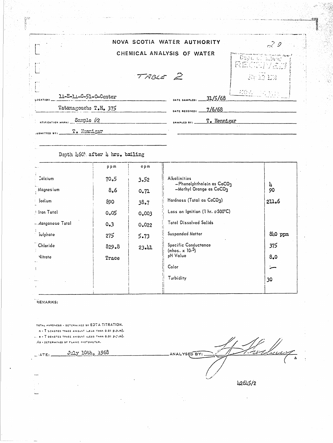|                 |                                 | $\Delta\phi$ and $\Delta\phi$ and $\Delta\phi$ and $\Delta\phi$<br>and the company's | a sa mga bayang pangalang |             |                                          |
|-----------------|---------------------------------|--------------------------------------------------------------------------------------|---------------------------|-------------|------------------------------------------|
|                 |                                 | NOVA SCOTIA WATER AUTHORITY                                                          |                           |             | $\mathbb{R}^2$                           |
|                 |                                 | CHEMICAL ANALYSIS OF WATER<br>TABLE 2                                                |                           |             | Doph of allmed<br>RECTIVES!<br>Jär 12 KM |
| LOCATION!       | 11-E-11-C-51-O-Center           |                                                                                      | DATE SAMPLEDI             | 31/5/68     | 100 100 1                                |
|                 | Tatamagouche T.H. 375           |                                                                                      | DATE RECEIVED:            | 7/6/68      |                                          |
| JUBMITTED BY: _ | <b>Sample #2</b><br>T. Honnigar |                                                                                      | SAMPLED BY:               | T. Hennigar |                                          |

# Depth 460' after 4 hrs. bailing

|                   | ppm   | opm   |                                                     |         |
|-------------------|-------|-------|-----------------------------------------------------|---------|
| <b>Calcium</b>    | 70.5  | 3.52  | Alkalinities<br>$-P$ henolphthalein as $CaCO3$      | 4       |
| Magnesium         | 8,6   | 0.71  | -Methyl Orange as CaCO3                             | 90      |
| Sodium            | 890   | 38.7  | Hardness (Total as CaCO3)                           | 211.6   |
| I fron Total      | 0.05  | 0.003 | Loss on Ignition (1 hr. e500°C)                     |         |
| Manganese Total – | 0.3   | 0.022 | <b>Total Dissolved Solids</b>                       |         |
| Sulphate          | 275   | 5.73  | <b>Suspended Matter</b>                             | 840 ppm |
| Chloride          | 829.8 | 23.41 | Specific Conductance<br>(mhos. x 10- <sup>5</sup> ) | 375     |
| Nitrate           | Trace |       | pH Value                                            | 8.0     |
|                   |       |       | Color                                               |         |
|                   |       |       | Turbidity                                           | 30      |
| $\mathbf{I}$      |       |       |                                                     |         |

# REMARKS:

 $\perp$  (ATE).

TOTAL HARDNESS - DETERMINED BY EDTA TITRATION.  $n$  -  $T$  benotes trace amount (less than 0.01 p.p.m). ... e . T DENOTES TRACE AMOUNT ILESS THAN 0.01 P.C.M).

NO - DETERMINED BY FLAME PHOTOMETER.

July 10th, 1968

 $\overline{\mathscr{S}}$ شعريش بعيد ANALYSED BY:

42645/2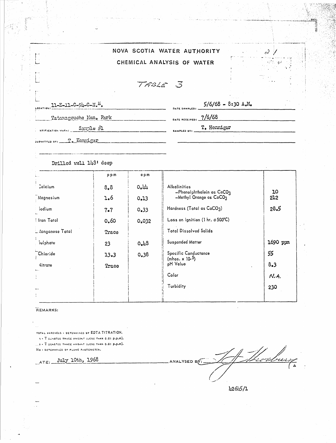|                            |  | NOVA SCOTIA WATER AUTHORITY |
|----------------------------|--|-----------------------------|
| CHEMICAL ANALYSIS OF WATER |  |                             |

TABLE 3

| $11 - E - 11 - C - 94 - C - N_e$ <sup>E</sup> . | $5/6/68 - 8:30 A.M.$<br>$DATE$ SAMPLED: $\frac{1}{2}$ $\frac{1}{2}$ $\frac{1}{2}$ $\frac{1}{2}$ $\frac{1}{2}$ $\frac{1}{2}$ $\frac{1}{2}$ $\frac{1}{2}$ $\frac{1}{2}$ $\frac{1}{2}$ $\frac{1}{2}$ $\frac{1}{2}$ $\frac{1}{2}$ $\frac{1}{2}$ $\frac{1}{2}$ $\frac{1}{2}$ $\frac{1}{2}$ $\frac{1}{2}$ $\frac{1}{2}$ $\frac{1}{2}$ $\frac{1}{2$ | <b>START SERVICE</b> |
|-------------------------------------------------|----------------------------------------------------------------------------------------------------------------------------------------------------------------------------------------------------------------------------------------------------------------------------------------------------------------------------------------------|----------------------|
| Tatamagouche Mun. Park                          | DATE RECEIVED: $\frac{7/6/68}{\sqrt{1}}$                                                                                                                                                                                                                                                                                                     |                      |
| Sample #1                                       | T. Hennigar<br>SAMPLED BY: ___________________                                                                                                                                                                                                                                                                                               |                      |
| SUBMITTED BY: To Hermigar                       |                                                                                                                                                                                                                                                                                                                                              |                      |

# Drilled well  $143'$  deep

|                   | ppm   | epm   |                                                          |           |
|-------------------|-------|-------|----------------------------------------------------------|-----------|
| Calcium           | 8.8   | 0.11  | Alkalinities                                             |           |
| Magnesium         | 1.6   | 0.13  | -Phenolphthalein as CaCO3<br>$-Methyl$ Orange as $CaCO3$ | 10<br>212 |
| iodium            | 7.7   | 0.33  | Hardness (Total as CaCO3)                                | 28.5      |
| Iron Total        | 0.60  | 0.032 | Loss on Ignition (1 hr. @500°C)                          |           |
| L Aanganese Total | Trace |       | <b>Total Dissolved Solids</b>                            |           |
| Sulphate          | 23    | 0.43  | <b>Suspended Matter</b>                                  | 1690 ppm  |
| Chloride          | 13.3  | 0.38  | Specific Conductance                                     | 55        |
| <b>Nitrate</b>    | Trace |       | (mhos. x 10- <sup>5</sup> )<br>pH Value                  | 8.3       |
| المسة<br>ŧ.       |       |       | Color                                                    | N.A.      |
| $\cdots$          |       |       | Turbidity                                                | 230       |
|                   |       |       |                                                          |           |

#### REMARKS:

TOTAL HARDNESS + DETERMINED BY EDTA TITRATION. h - T SCHOTES TRACE AMOUNT (LESS THAN 0.01 p.p.m).  $\ldots$ 2 - T DENOTES THACE AMOUNT (LESS THAN 0.01 P.p.m). No - DETERMINED BY FLAME PHOTOMETER.

ATE: July 10th, 1968

11 Mars ANALYSED BY:

 $\sim$  )

 $\sim 100$ ٠ĸ

42645/1